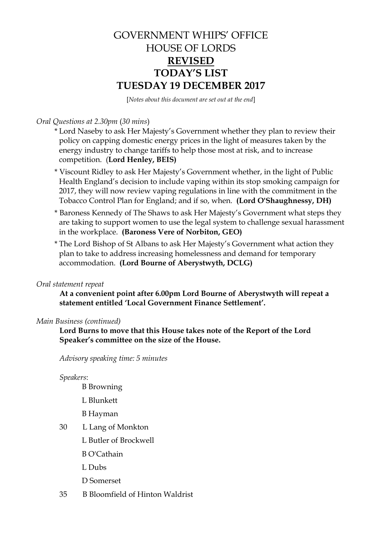# GOVERNMENT WHIPS' OFFICE HOUSE OF LORDS **REVISED TODAY'S LIST TUESDAY 19 DECEMBER 2017**

[*Notes about this document are set out at the end*]

## *Oral Questions at 2.30pm* (*30 mins*)

- \* Lord Naseby to ask Her Majesty's Government whether they plan to review their policy on capping domestic energy prices in the light of measures taken by the energy industry to change tariffs to help those most at risk, and to increase competition.(**Lord Henley, BEIS)**
- \* Viscount Ridley to ask Her Majesty's Government whether, in the light of Public Health England's decision to include vaping within its stop smoking campaign for 2017, they will now review vaping regulations in line with the commitment in the Tobacco Control Plan for England; and if so, when. **(Lord O'Shaughnessy, DH)**
- \* Baroness Kennedy of The Shaws to ask Her Majesty's Government what steps they are taking to support women to use the legal system to challenge sexual harassment in the workplace. **(Baroness Vere of Norbiton, GEO)**
- \* The Lord Bishop of St Albans to ask Her Majesty's Government what action they plan to take to address increasing homelessness and demand for temporary accommodation. **(Lord Bourne of Aberystwyth, DCLG)**

### *Oral statement repeat*

**At a convenient point after 6.00pm Lord Bourne of Aberystwyth will repeat a statement entitled 'Local Government Finance Settlement'.**

### *Main Business (continued)*

**Lord Burns to move that this House takes note of the Report of the Lord Speaker's committee on the size of the House.**

*Advisory speaking time: 5 minutes*

#### *Speakers*:

- B Browning
- L Blunkett
- B Hayman
- 30 L Lang of Monkton
	- L Butler of Brockwell
	- B O'Cathain
	- L Dubs
	- D Somerset
- 35 B Bloomfield of Hinton Waldrist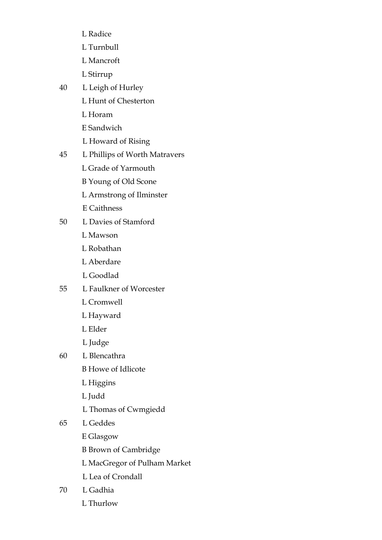- L Radice
- L Turnbull
- L Mancroft
- L Stirrup
- 40 L Leigh of Hurley
	- L Hunt of Chesterton
	- L Horam
	- E Sandwich
	- L Howard of Rising
- 45 L Phillips of Worth Matravers
	- L Grade of Yarmouth
	- B Young of Old Scone
	- L Armstrong of Ilminster
	- E Caithness
- 50 L Davies of Stamford
	- L Mawson
	- L Robathan
	- L Aberdare
	- L Goodlad
- 55 L Faulkner of Worcester
	- L Cromwell
	- L Hayward
	- L Elder
	- L Judge
- 60 L Blencathra
	- B Howe of Idlicote
	- L Higgins
	- L Judd
	- L Thomas of Cwmgiedd
- 65 L Geddes
	- E Glasgow
	- B Brown of Cambridge
	- L MacGregor of Pulham Market
	- L Lea of Crondall
- 70 L Gadhia
	- L Thurlow